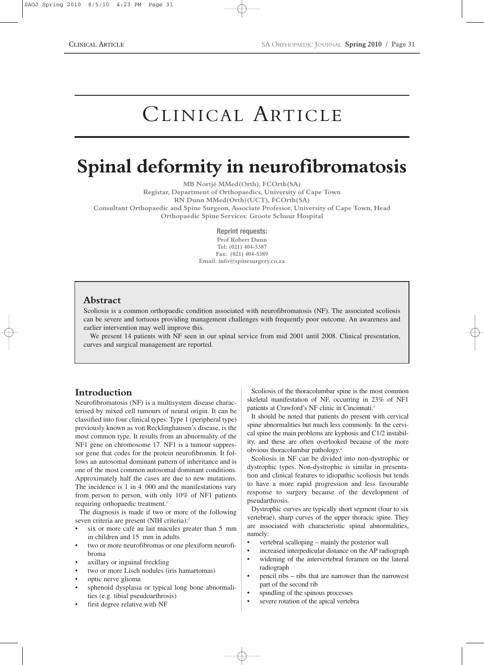# CLINICAL ARTICLE

# **Spinal deformity in neurofibromatosis**

**MB Nortjé MMed(Orth), FCOrth(SA) Registar, Department of Orthopaedics, University of Cape Town RN Dunn MMed(Orth)(UCT), FCOrth(SA) Consultant Orthopaedic and Spine Surgeon, Associate Professor, University of Cape Town, Head Orthopaedic Spine Services: Groote Schuur Hospital**

**Reprint requests:**

**Prof Robert Dunn Tel: (021) 404-5387 Fax: (021) 404-5389 Email: info@spinesurgery.co.za**

# **Abstract**

Scoliosis is a common orthopaedic condition associated with neurofibromatosis (NF). The associated scoliosis can be severe and tortuous providing management challenges with frequently poor outcome. An awareness and earlier intervention may well improve this.

We present 14 patients with NF seen in our spinal service from mid 2001 until 2008. Clinical presentation, curves and surgical management are reported.

# **Introduction**

Neurofibromatosis (NF) is a multisystem disease characterised by mixed cell tumours of neural origin. It can be classified into four clinical types: Type 1 (peripheral type) previously known as von Recklinghausen's disease, is the most common type. It results from an abnormality of the NF1 gene on chromosome 17. NF1 is a tumour suppressor gene that codes for the protein neurofibromin. It follows an autosomal dominant pattern of inheritance and is one of the most common autosomal dominant conditions. Approximately half the cases are due to new mutations. The incidence is 1 in 4 000 and the manifestations vary from person to person, with only 10% of NF1 patients requiring orthopaedic treatment.<sup>1</sup>

The diagnosis is made if two or more of the following seven criteria are present (NIH criteria):<sup>2</sup>

- six or more café au lait macules greater than 5 mm in children and 15 mm in adults
- two or more neurofibromas or one plexiform neurofibroma
- axillary or inguinal freckling
- two or more Lisch nodules (iris hamartomas)
- optic nerve glioma
- sphenoid dysplasia or typical long bone abnormalities (e.g. tibial pseudoarthrosis)
- first degree relative with NF

Scoliosis of the thoracolumbar spine is the most common skeletal manifestation of NF, occurring in 23% of NF1 patients at Crawford's NF clinic in Cincinnati.3

It should be noted that patients do present with cervical spine abnormalities but much less commonly. In the cervical spine the main problems are kyphosis and C1/2 instability, and these are often overlooked because of the more obvious thoracolumbar pathology.4

Scoliosis in NF can be divided into non-dystrophic or dystrophic types. Non-dystrophic is similar in presentation and clinical features to idiopathic scoliosis but tends to have a more rapid progression and less favourable response to surgery because of the development of pseudarthrosis.

Dystrophic curves are typically short segment (four to six vertebrae), sharp curves of the upper thoracic spine. They are associated with characteristic spinal abnormalities, namely:

- vertebral scalloping mainly the posterior wall
- increased interpedicular distance on the AP radiograph
- widening of the intervertebral foramen on the lateral radiograph
- pencil ribs ribs that are narrower than the narrowest part of the second rib
- spindling of the spinous processes
- severe rotation of the apical vertebra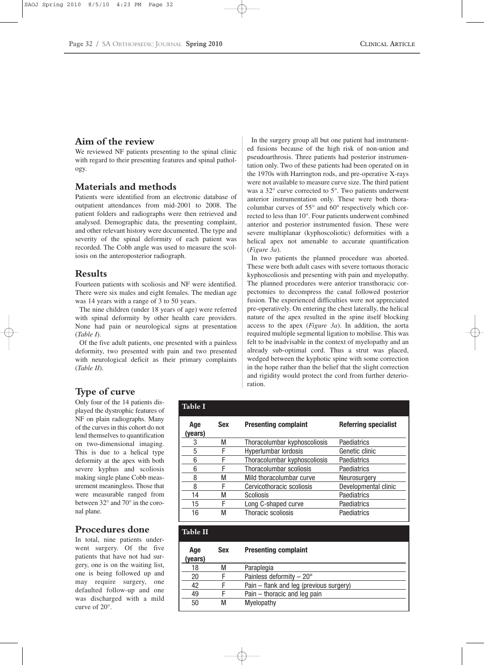## **Aim of the review**

We reviewed NF patients presenting to the spinal clinic with regard to their presenting features and spinal pathology.

#### **Materials and methods**

Patients were identified from an electronic database of outpatient attendances from mid-2001 to 2008. The patient folders and radiographs were then retrieved and analysed. Demographic data, the presenting complaint, and other relevant history were documented. The type and severity of the spinal deformity of each patient was recorded. The Cobb angle was used to measure the scoliosis on the anteroposterior radiograph.

#### **Results**

Fourteen patients with scoliosis and NF were identified. There were six males and eight females. The median age was 14 years with a range of 3 to 50 years.

The nine children (under 18 years of age) were referred with spinal deformity by other health care providers. None had pain or neurological signs at presentation (*Table I*).

Of the five adult patients, one presented with a painless deformity, two presented with pain and two presented with neurological deficit as their primary complaints (*Table II*).

**Table II**

In the surgery group all but one patient had instrumented fusions because of the high risk of non-union and pseudoarthrosis. Three patients had posterior instrumentation only. Two of these patients had been operated on in the 1970s with Harrington rods, and pre-operative X-rays were not available to measure curve size. The third patient was a 32° curve corrected to 5°. Two patients underwent anterior instrumentation only. These were both thoracolumbar curves of 55° and 60° respectively which corrected to less than 10°. Four patients underwent combined anterior and posterior instrumented fusion. These were severe multiplanar (kyphoscoliotic) deformities with a helical apex not amenable to accurate quantification (*Figure 3a*).

In two patients the planned procedure was aborted. These were both adult cases with severe tortuous thoracic kyphoscoliosis and presenting with pain and myelopathy. The planned procedures were anterior transthoracic corpectomies to decompress the canal followed posterior fusion. The experienced difficulties were not appreciated pre-operatively. On entering the chest laterally, the helical nature of the apex resulted in the spine itself blocking access to the apex (*Figure 3a*). In addition, the aorta required multiple segmental ligation to mobilise. This was felt to be inadvisable in the context of myelopathy and an already sub-optimal cord. Thus a strut was placed, wedged between the kyphotic spine with some correction in the hope rather than the belief that the slight correction and rigidity would protect the cord from further deterioration.

# **Type of curve**

Only four of the 14 patients displayed the dystrophic features of NF on plain radiographs. Many of the curves in this cohort do not lend themselves to quantification on two-dimensional imaging. This is due to a helical type deformity at the apex with both severe kyphus and scoliosis making single plane Cobb measurement meaningless. Those that were measurable ranged from between 32° and 70° in the coronal plane.

#### **Procedures done**

In total, nine patients underwent surgery. Of the five patients that have not had surgery, one is on the waiting list, one is being followed up and may require surgery, one defaulted follow-up and one was discharged with a mild curve of 20°.

| <b>Table I</b> |            |                              |                             |
|----------------|------------|------------------------------|-----------------------------|
| Age<br>(years) | <b>Sex</b> | <b>Presenting complaint</b>  | <b>Referring specialist</b> |
| 3              | М          | Thoracolumbar kyphoscoliosis | Paediatrics                 |
| 5              | F          | Hyperlumbar lordosis         | Genetic clinic              |
| 6              | F          | Thoracolumbar kyphoscoliosis | Paediatrics                 |
| 6              | F          | Thoracolumbar scoliosis      | Paediatrics                 |
| 8              | М          | Mild thoracolumbar curve     | Neurosurgery                |
| 8              | F          | Cervicothoracic scoliosis    | Developmental clinic        |
| 14             | М          | <b>Scoliosis</b>             | Paediatrics                 |
| 15             | F          | Long C-shaped curve          | Paediatrics                 |
| 16             | м          | Thoracic scoliosis           | Paediatrics                 |

| Age<br>years) | <b>Sex</b> | <b>Presenting complaint</b>             |  |
|---------------|------------|-----------------------------------------|--|
| 18            | M          | Paraplegia                              |  |
| 20            | F          | Painless deformity $-20^\circ$          |  |
| 42            | F          | Pain – flank and leg (previous surgery) |  |
| 49            | F          | Pain – thoracic and leg pain            |  |
| 50            | М          | <b>Myelopathy</b>                       |  |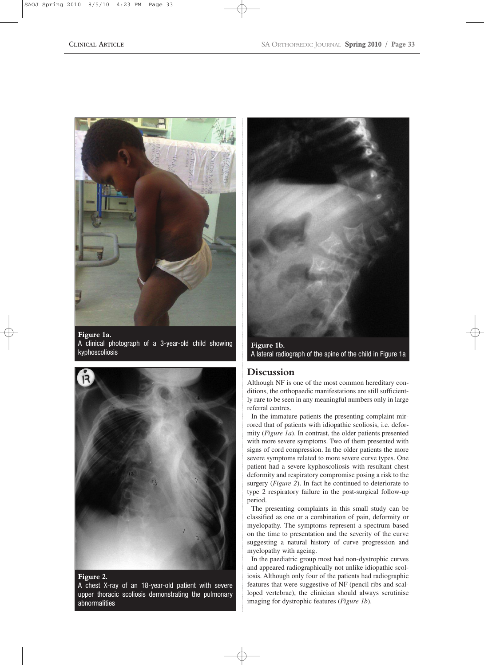

**Figure 1a.**  A clinical photograph of a 3-year-old child showing kyphoscoliosis



#### **Figure 2.**

A chest X-ray of an 18-year-old patient with severe upper thoracic scoliosis demonstrating the pulmonary abnormalities



**Figure 1b.**  A lateral radiograph of the spine of the child in Figure 1a

### **Discussion**

Although NF is one of the most common hereditary conditions, the orthopaedic manifestations are still sufficiently rare to be seen in any meaningful numbers only in large referral centres.

In the immature patients the presenting complaint mirrored that of patients with idiopathic scoliosis, i.e. deformity (*Figure 1a*). In contrast, the older patients presented with more severe symptoms. Two of them presented with signs of cord compression. In the older patients the more severe symptoms related to more severe curve types. One patient had a severe kyphoscoliosis with resultant chest deformity and respiratory compromise posing a risk to the surgery (*Figure 2*). In fact he continued to deteriorate to type 2 respiratory failure in the post-surgical follow-up period.

The presenting complaints in this small study can be classified as one or a combination of pain, deformity or myelopathy. The symptoms represent a spectrum based on the time to presentation and the severity of the curve suggesting a natural history of curve progression and myelopathy with ageing.

In the paediatric group most had non-dystrophic curves and appeared radiographically not unlike idiopathic scoliosis. Although only four of the patients had radiographic features that were suggestive of NF (pencil ribs and scalloped vertebrae), the clinician should always scrutinise imaging for dystrophic features (*Figure 1b*).